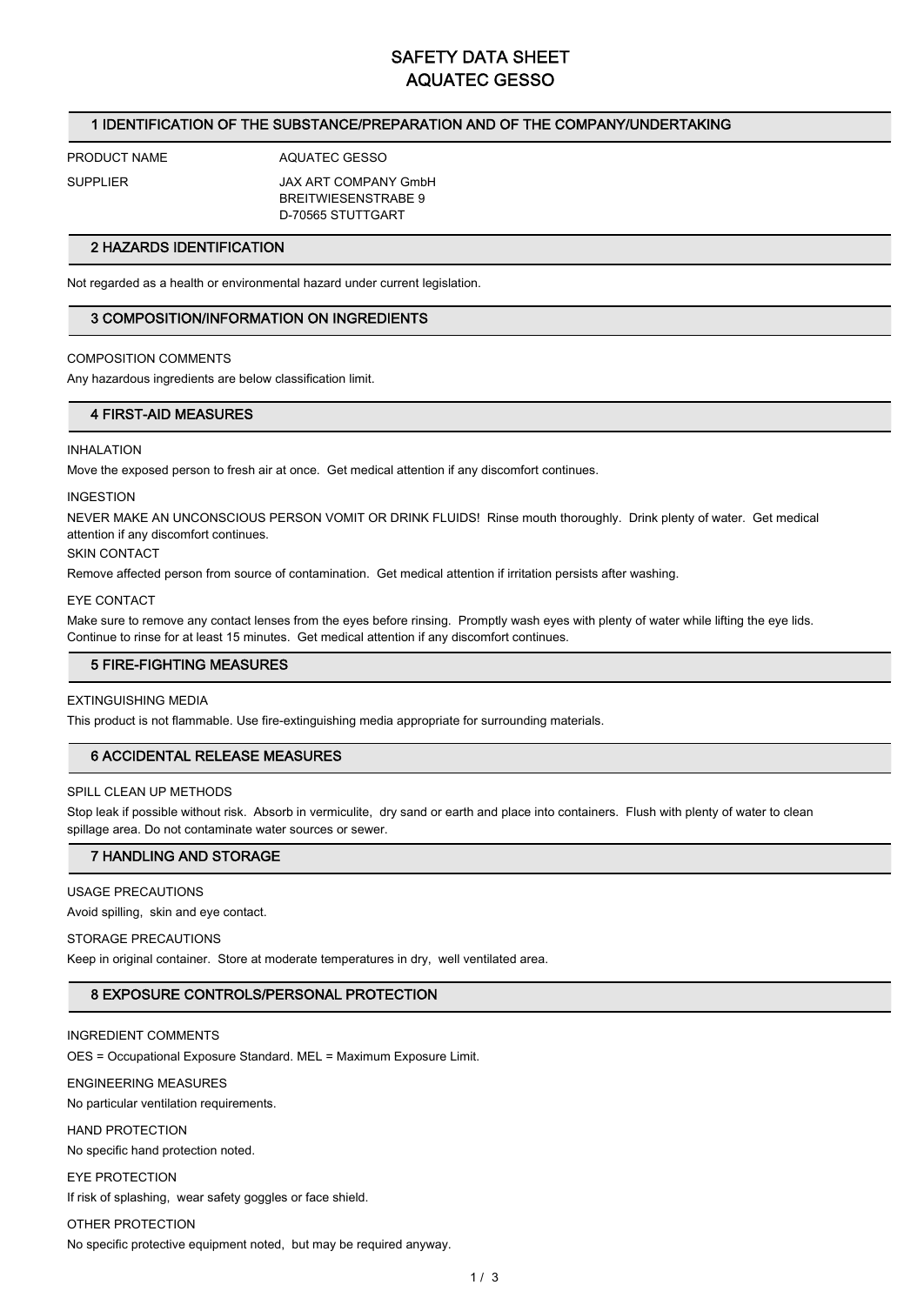# **SAFETY DATA SHEET AQUATEC GESSO**

# **1 IDENTIFICATION OF THE SUBSTANCE/PREPARATION AND OF THE COMPANY/UNDERTAKING**

**PRODUCT NAME AQUATEC GESSO**

**SUPPLIER JAX ART COMPANY GmbH BREITWIESENSTRABE 9 D-70565 STUTTGART**

### **2 HAZARDS IDENTIFICATION**

**Not regarded as a health or environmental hazard under current legislation.**

### **3 COMPOSITION/INFORMATION ON INGREDIENTS**

### **COMPOSITION COMMENTS**

**Any hazardous ingredients are below classification limit.**

### **4 FIRST-AID MEASURES**

#### **INHALATION**

**Move the exposed person to fresh air at once. Get medical attention if any discomfort continues.**

### **INGESTION**

**NEVER MAKE AN UNCONSCIOUS PERSON VOMIT OR DRINK FLUIDS! Rinse mouth thoroughly. Drink plenty of water. Get medical attention if any discomfort continues.**

#### **SKIN CONTACT**

**Remove affected person from source of contamination. Get medical attention if irritation persists after washing.**

#### **EYE CONTACT**

**Make sure to remove any contact lenses from the eyes before rinsing. Promptly wash eyes with plenty of water while lifting the eye lids. Continue to rinse for at least 15 minutes. Get medical attention if any discomfort continues.**

### **5 FIRE-FIGHTING MEASURES**

### **EXTINGUISHING MEDIA**

**This product is not flammable. Use fire-extinguishing media appropriate for surrounding materials.**

### **6 ACCIDENTAL RELEASE MEASURES**

#### **SPILL CLEAN UP METHODS**

**Stop leak if possible without risk. Absorb in vermiculite, dry sand or earth and place into containers. Flush with plenty of water to clean spillage area. Do not contaminate water sources or sewer.**

### **7 HANDLING AND STORAGE**

### **USAGE PRECAUTIONS**

**Avoid spilling, skin and eye contact.**

#### **STORAGE PRECAUTIONS**

**Keep in original container. Store at moderate temperatures in dry, well ventilated area.**

# **8 EXPOSURE CONTROLS/PERSONAL PROTECTION**

### **INGREDIENT COMMENTS**

**OES = Occupational Exposure Standard. MEL = Maximum Exposure Limit.**

# **ENGINEERING MEASURES**

**No particular ventilation requirements.**

### **HAND PROTECTION**

**No specific hand protection noted.**

# **EYE PROTECTION**

**If risk of splashing, wear safety goggles or face shield.**

# **OTHER PROTECTION**

**No specific protective equipment noted, but may be required anyway.**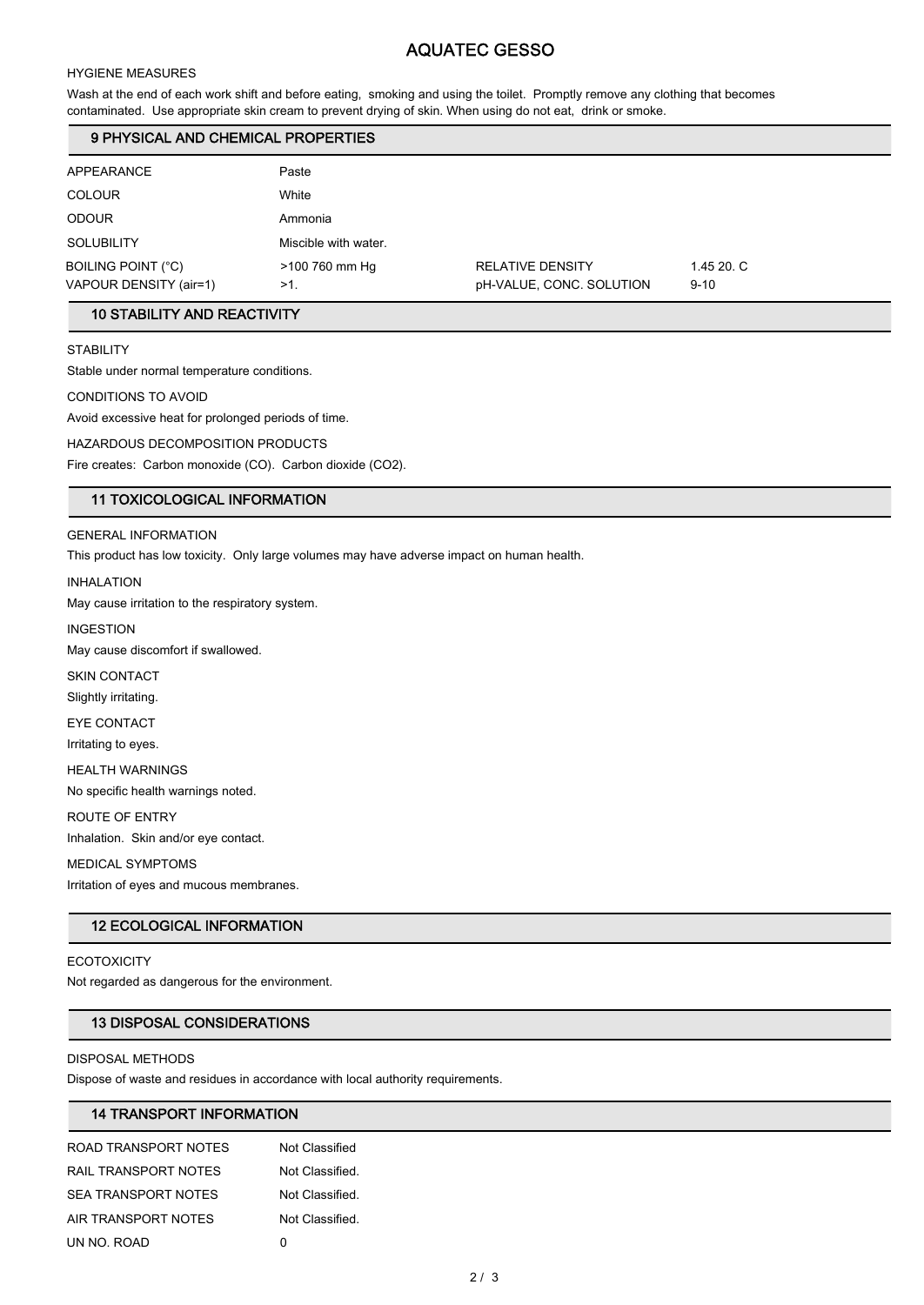# **AQUATEC GESSO**

### **HYGIENE MEASURES**

**Wash at the end of each work shift and before eating, smoking and using the toilet. Promptly remove any clothing that becomes contaminated. Use appropriate skin cream to prevent drying of skin. When using do not eat, drink or smoke.**

# **9 PHYSICAL AND CHEMICAL PROPERTIES**

| APPEARANCE                                   | Paste                    |                                                     |                        |
|----------------------------------------------|--------------------------|-----------------------------------------------------|------------------------|
| <b>COLOUR</b>                                | White                    |                                                     |                        |
| <b>ODOUR</b>                                 | Ammonia                  |                                                     |                        |
| <b>SOLUBILITY</b>                            | Miscible with water.     |                                                     |                        |
| BOILING POINT (°C)<br>VAPOUR DENSITY (air=1) | >100 760 mm Hg<br>$>1$ . | <b>RELATIVE DENSITY</b><br>pH-VALUE, CONC. SOLUTION | 1.45 20. C<br>$9 - 10$ |

# **10 STABILITY AND REACTIVITY**

**STABILITY**

**Stable under normal temperature conditions.**

**CONDITIONS TO AVOID**

**Avoid excessive heat for prolonged periods of time.**

**HAZARDOUS DECOMPOSITION PRODUCTS**

**Fire creates: Carbon monoxide (CO). Carbon dioxide (CO2).**

# **11 TOXICOLOGICAL INFORMATION**

**GENERAL INFORMATION**

**This product has low toxicity. Only large volumes may have adverse impact on human health.**

**INHALATION**

**May cause irritation to the respiratory system.**

**INGESTION**

**May cause discomfort if swallowed.**

**SKIN CONTACT Slightly irritating.**

**EYE CONTACT Irritating to eyes.**

**HEALTH WARNINGS**

**No specific health warnings noted.**

**ROUTE OF ENTRY Inhalation. Skin and/or eye contact.**

**MEDICAL SYMPTOMS**

**Irritation of eyes and mucous membranes.**

# **12 ECOLOGICAL INFORMATION**

### **ECOTOXICITY**

**Not regarded as dangerous for the environment.**

### **13 DISPOSAL CONSIDERATIONS**

**DISPOSAL METHODS**

**Dispose of waste and residues in accordance with local authority requirements.**

# **14 TRANSPORT INFORMATION**

| ROAD TRANSPORT NOTES | Not Classified  |
|----------------------|-----------------|
| RAIL TRANSPORT NOTES | Not Classified. |
| SEA TRANSPORT NOTES  | Not Classified. |
| AIR TRANSPORT NOTES  | Not Classified. |
| UN NO. ROAD          | O               |